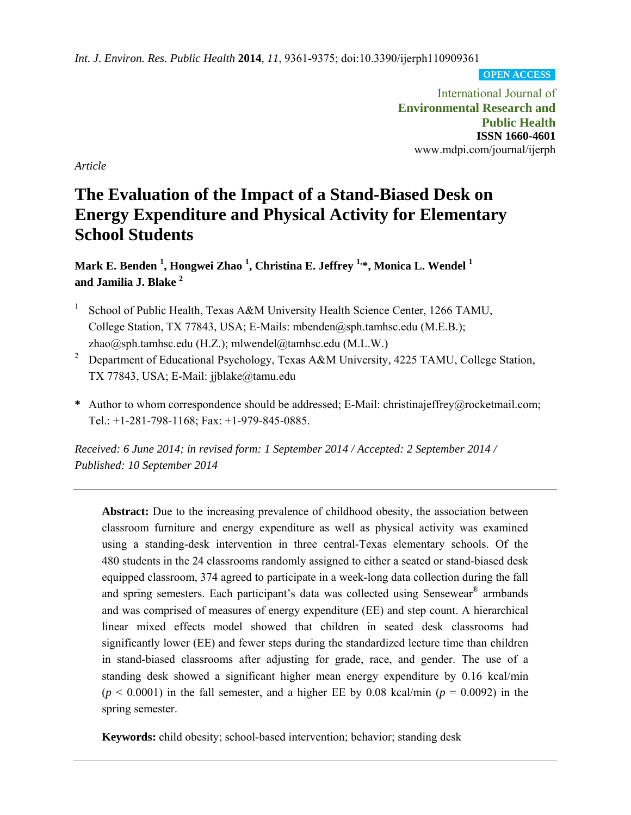*Int. J. Environ. Res. Public Health* **2014**, *11*, 9361-9375; doi:10.3390/ijerph110909361

**OPEN ACCESS**

International Journal of **Environmental Research and Public Health ISSN 1660-4601**  www.mdpi.com/journal/ijerph

*Article* 

# **The Evaluation of the Impact of a Stand-Biased Desk on Energy Expenditure and Physical Activity for Elementary School Students**

**Mark E. Benden 1 , Hongwei Zhao 1 , Christina E. Jeffrey 1,\*, Monica L. Wendel 1 and Jamilia J. Blake 2**

- 1 School of Public Health, Texas A&M University Health Science Center, 1266 TAMU, College Station, TX 77843, USA; E-Mails: mbenden@sph.tamhsc.edu (M.E.B.); zhao@sph.tamhsc.edu (H.Z.); mlwendel@tamhsc.edu (M.L.W.)
- 2 Department of Educational Psychology, Texas A&M University, 4225 TAMU, College Station, TX 77843, USA; E-Mail: jjblake@tamu.edu
- **\*** Author to whom correspondence should be addressed; E-Mail: christinajeffrey@rocketmail.com; Tel.: +1-281-798-1168; Fax: +1-979-845-0885.

*Received: 6 June 2014; in revised form: 1 September 2014 / Accepted: 2 September 2014 / Published: 10 September 2014* 

**Abstract:** Due to the increasing prevalence of childhood obesity, the association between classroom furniture and energy expenditure as well as physical activity was examined using a standing-desk intervention in three central-Texas elementary schools. Of the 480 students in the 24 classrooms randomly assigned to either a seated or stand-biased desk equipped classroom, 374 agreed to participate in a week-long data collection during the fall and spring semesters. Each participant's data was collected using Sensewear® armbands and was comprised of measures of energy expenditure (EE) and step count. A hierarchical linear mixed effects model showed that children in seated desk classrooms had significantly lower (EE) and fewer steps during the standardized lecture time than children in stand-biased classrooms after adjusting for grade, race, and gender. The use of a standing desk showed a significant higher mean energy expenditure by 0.16 kcal/min  $(p < 0.0001)$  in the fall semester, and a higher EE by 0.08 kcal/min ( $p = 0.0092$ ) in the spring semester.

**Keywords:** child obesity; school-based intervention; behavior; standing desk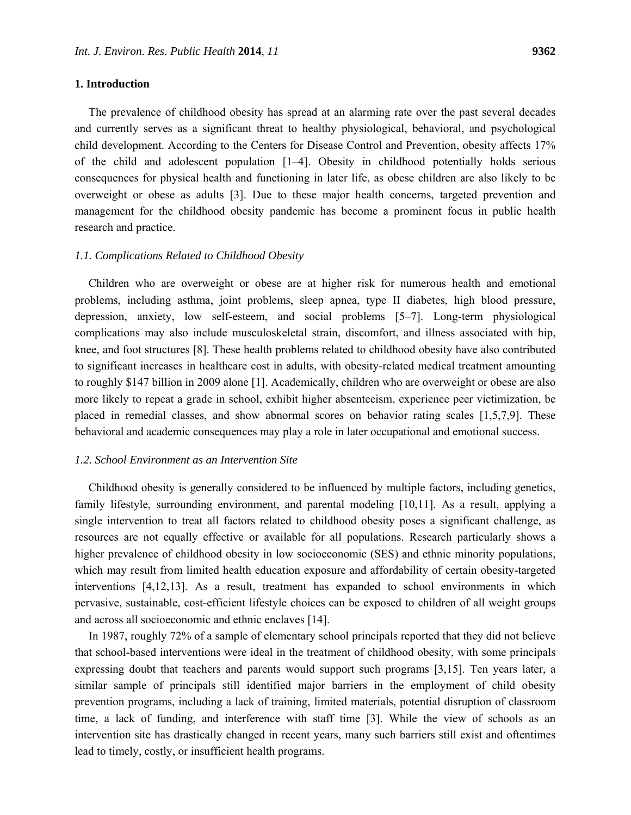## **1. Introduction**

The prevalence of childhood obesity has spread at an alarming rate over the past several decades and currently serves as a significant threat to healthy physiological, behavioral, and psychological child development. According to the Centers for Disease Control and Prevention, obesity affects 17% of the child and adolescent population [1–4]. Obesity in childhood potentially holds serious consequences for physical health and functioning in later life, as obese children are also likely to be overweight or obese as adults [3]. Due to these major health concerns, targeted prevention and management for the childhood obesity pandemic has become a prominent focus in public health research and practice.

#### *1.1. Complications Related to Childhood Obesity*

Children who are overweight or obese are at higher risk for numerous health and emotional problems, including asthma, joint problems, sleep apnea, type II diabetes, high blood pressure, depression, anxiety, low self-esteem, and social problems [5–7]. Long-term physiological complications may also include musculoskeletal strain, discomfort, and illness associated with hip, knee, and foot structures [8]. These health problems related to childhood obesity have also contributed to significant increases in healthcare cost in adults, with obesity-related medical treatment amounting to roughly \$147 billion in 2009 alone [1]. Academically, children who are overweight or obese are also more likely to repeat a grade in school, exhibit higher absenteeism, experience peer victimization, be placed in remedial classes, and show abnormal scores on behavior rating scales [1,5,7,9]. These behavioral and academic consequences may play a role in later occupational and emotional success.

#### *1.2. School Environment as an Intervention Site*

Childhood obesity is generally considered to be influenced by multiple factors, including genetics, family lifestyle, surrounding environment, and parental modeling [10,11]. As a result, applying a single intervention to treat all factors related to childhood obesity poses a significant challenge, as resources are not equally effective or available for all populations. Research particularly shows a higher prevalence of childhood obesity in low socioeconomic (SES) and ethnic minority populations, which may result from limited health education exposure and affordability of certain obesity-targeted interventions [4,12,13]. As a result, treatment has expanded to school environments in which pervasive, sustainable, cost-efficient lifestyle choices can be exposed to children of all weight groups and across all socioeconomic and ethnic enclaves [14].

In 1987, roughly 72% of a sample of elementary school principals reported that they did not believe that school-based interventions were ideal in the treatment of childhood obesity, with some principals expressing doubt that teachers and parents would support such programs [3,15]. Ten years later, a similar sample of principals still identified major barriers in the employment of child obesity prevention programs, including a lack of training, limited materials, potential disruption of classroom time, a lack of funding, and interference with staff time [3]. While the view of schools as an intervention site has drastically changed in recent years, many such barriers still exist and oftentimes lead to timely, costly, or insufficient health programs.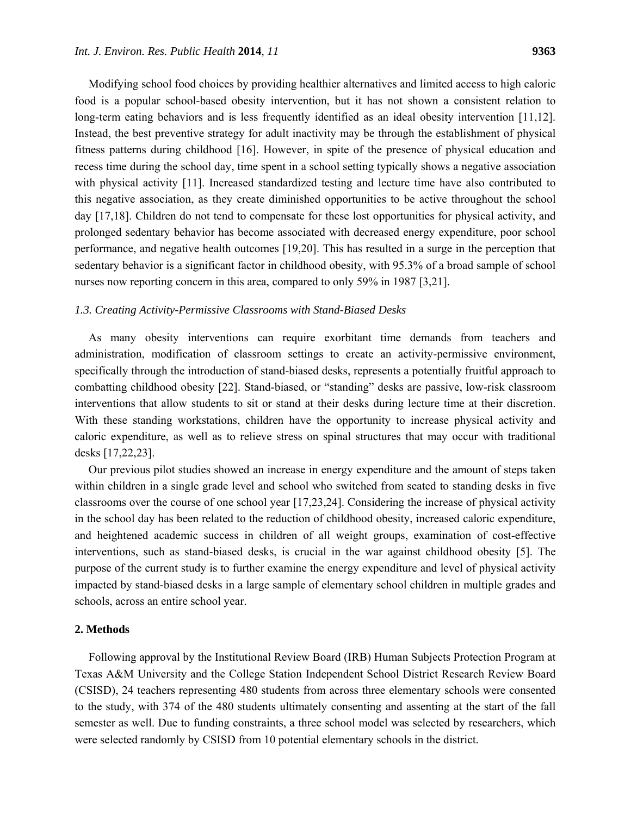Modifying school food choices by providing healthier alternatives and limited access to high caloric food is a popular school-based obesity intervention, but it has not shown a consistent relation to long-term eating behaviors and is less frequently identified as an ideal obesity intervention [11,12]. Instead, the best preventive strategy for adult inactivity may be through the establishment of physical fitness patterns during childhood [16]. However, in spite of the presence of physical education and recess time during the school day, time spent in a school setting typically shows a negative association with physical activity [11]. Increased standardized testing and lecture time have also contributed to this negative association, as they create diminished opportunities to be active throughout the school day [17,18]. Children do not tend to compensate for these lost opportunities for physical activity, and prolonged sedentary behavior has become associated with decreased energy expenditure, poor school performance, and negative health outcomes [19,20]. This has resulted in a surge in the perception that sedentary behavior is a significant factor in childhood obesity, with 95.3% of a broad sample of school nurses now reporting concern in this area, compared to only 59% in 1987 [3,21].

## *1.3. Creating Activity-Permissive Classrooms with Stand-Biased Desks*

As many obesity interventions can require exorbitant time demands from teachers and administration, modification of classroom settings to create an activity-permissive environment, specifically through the introduction of stand-biased desks, represents a potentially fruitful approach to combatting childhood obesity [22]. Stand-biased, or "standing" desks are passive, low-risk classroom interventions that allow students to sit or stand at their desks during lecture time at their discretion. With these standing workstations, children have the opportunity to increase physical activity and caloric expenditure, as well as to relieve stress on spinal structures that may occur with traditional desks [17,22,23].

Our previous pilot studies showed an increase in energy expenditure and the amount of steps taken within children in a single grade level and school who switched from seated to standing desks in five classrooms over the course of one school year [17,23,24]. Considering the increase of physical activity in the school day has been related to the reduction of childhood obesity, increased caloric expenditure, and heightened academic success in children of all weight groups, examination of cost-effective interventions, such as stand-biased desks, is crucial in the war against childhood obesity [5]. The purpose of the current study is to further examine the energy expenditure and level of physical activity impacted by stand-biased desks in a large sample of elementary school children in multiple grades and schools, across an entire school year.

#### **2. Methods**

Following approval by the Institutional Review Board (IRB) Human Subjects Protection Program at Texas A&M University and the College Station Independent School District Research Review Board (CSISD), 24 teachers representing 480 students from across three elementary schools were consented to the study, with 374 of the 480 students ultimately consenting and assenting at the start of the fall semester as well. Due to funding constraints, a three school model was selected by researchers, which were selected randomly by CSISD from 10 potential elementary schools in the district.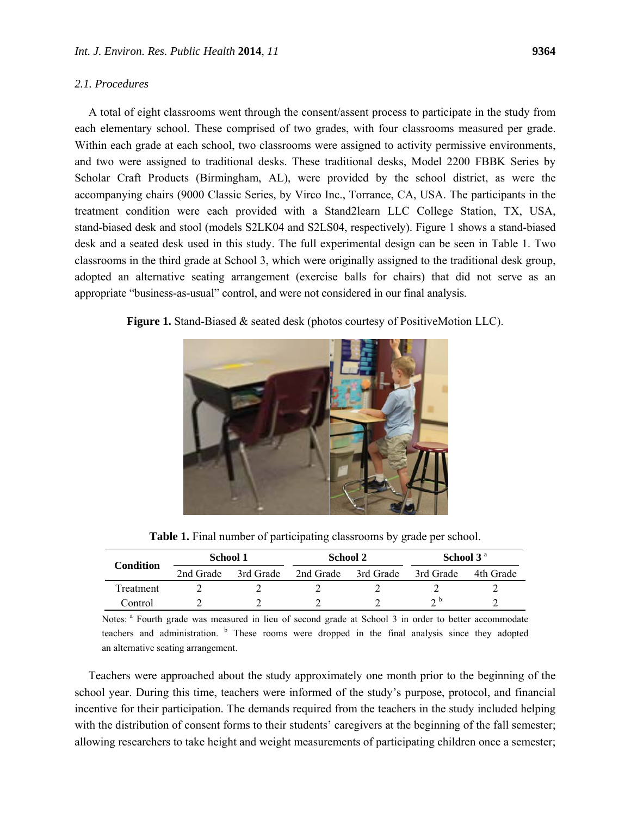A total of eight classrooms went through the consent/assent process to participate in the study from each elementary school. These comprised of two grades, with four classrooms measured per grade. Within each grade at each school, two classrooms were assigned to activity permissive environments, and two were assigned to traditional desks. These traditional desks, Model 2200 FBBK Series by Scholar Craft Products (Birmingham, AL), were provided by the school district, as were the

accompanying chairs (9000 Classic Series, by Virco Inc., Torrance, CA, USA. The participants in the treatment condition were each provided with a Stand2learn LLC College Station, TX, USA, stand-biased desk and stool (models S2LK04 and S2LS04, respectively). Figure 1 shows a stand-biased desk and a seated desk used in this study. The full experimental design can be seen in Table 1. Two classrooms in the third grade at School 3, which were originally assigned to the traditional desk group, adopted an alternative seating arrangement (exercise balls for chairs) that did not serve as an appropriate "business-as-usual" control, and were not considered in our final analysis.





**Table 1.** Final number of participating classrooms by grade per school.

| <b>Condition</b> | School 1  |           | School 2  |           | School 3 <sup>a</sup> |           |
|------------------|-----------|-----------|-----------|-----------|-----------------------|-----------|
|                  | 2nd Grade | 3rd Grade | 2nd Grade | 3rd Grade | 3rd Grade             | 4th Grade |
| Treatment        |           |           |           |           |                       |           |
| Control          |           |           |           |           | n D                   |           |

Notes: a Fourth grade was measured in lieu of second grade at School 3 in order to better accommodate teachers and administration. <sup>b</sup> These rooms were dropped in the final analysis since they adopted an alternative seating arrangement.

Teachers were approached about the study approximately one month prior to the beginning of the school year. During this time, teachers were informed of the study's purpose, protocol, and financial incentive for their participation. The demands required from the teachers in the study included helping with the distribution of consent forms to their students' caregivers at the beginning of the fall semester; allowing researchers to take height and weight measurements of participating children once a semester;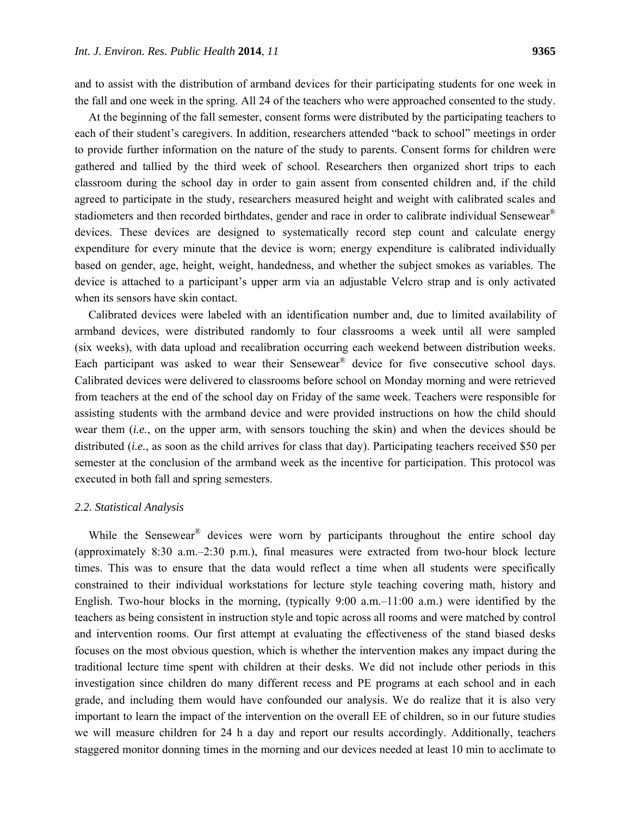and to assist with the distribution of armband devices for their participating students for one week in the fall and one week in the spring. All 24 of the teachers who were approached consented to the study.

At the beginning of the fall semester, consent forms were distributed by the participating teachers to each of their student's caregivers. In addition, researchers attended "back to school" meetings in order to provide further information on the nature of the study to parents. Consent forms for children were gathered and tallied by the third week of school. Researchers then organized short trips to each classroom during the school day in order to gain assent from consented children and, if the child agreed to participate in the study, researchers measured height and weight with calibrated scales and stadiometers and then recorded birthdates, gender and race in order to calibrate individual Sensewear<sup>®</sup> devices. These devices are designed to systematically record step count and calculate energy expenditure for every minute that the device is worn; energy expenditure is calibrated individually based on gender, age, height, weight, handedness, and whether the subject smokes as variables. The device is attached to a participant's upper arm via an adjustable Velcro strap and is only activated when its sensors have skin contact.

Calibrated devices were labeled with an identification number and, due to limited availability of armband devices, were distributed randomly to four classrooms a week until all were sampled (six weeks), with data upload and recalibration occurring each weekend between distribution weeks. Each participant was asked to wear their Sensewear<sup>®</sup> device for five consecutive school days. Calibrated devices were delivered to classrooms before school on Monday morning and were retrieved from teachers at the end of the school day on Friday of the same week. Teachers were responsible for assisting students with the armband device and were provided instructions on how the child should wear them (*i.e.*, on the upper arm, with sensors touching the skin) and when the devices should be distributed (*i.e.*, as soon as the child arrives for class that day). Participating teachers received \$50 per semester at the conclusion of the armband week as the incentive for participation. This protocol was executed in both fall and spring semesters.

#### *2.2. Statistical Analysis*

While the Sensewear<sup>®</sup> devices were worn by participants throughout the entire school day (approximately 8:30 a.m.–2:30 p.m.), final measures were extracted from two-hour block lecture times. This was to ensure that the data would reflect a time when all students were specifically constrained to their individual workstations for lecture style teaching covering math, history and English. Two-hour blocks in the morning, (typically  $9:00$  a.m. $-11:00$  a.m.) were identified by the teachers as being consistent in instruction style and topic across all rooms and were matched by control and intervention rooms. Our first attempt at evaluating the effectiveness of the stand biased desks focuses on the most obvious question, which is whether the intervention makes any impact during the traditional lecture time spent with children at their desks. We did not include other periods in this investigation since children do many different recess and PE programs at each school and in each grade, and including them would have confounded our analysis. We do realize that it is also very important to learn the impact of the intervention on the overall EE of children, so in our future studies we will measure children for 24 h a day and report our results accordingly. Additionally, teachers staggered monitor donning times in the morning and our devices needed at least 10 min to acclimate to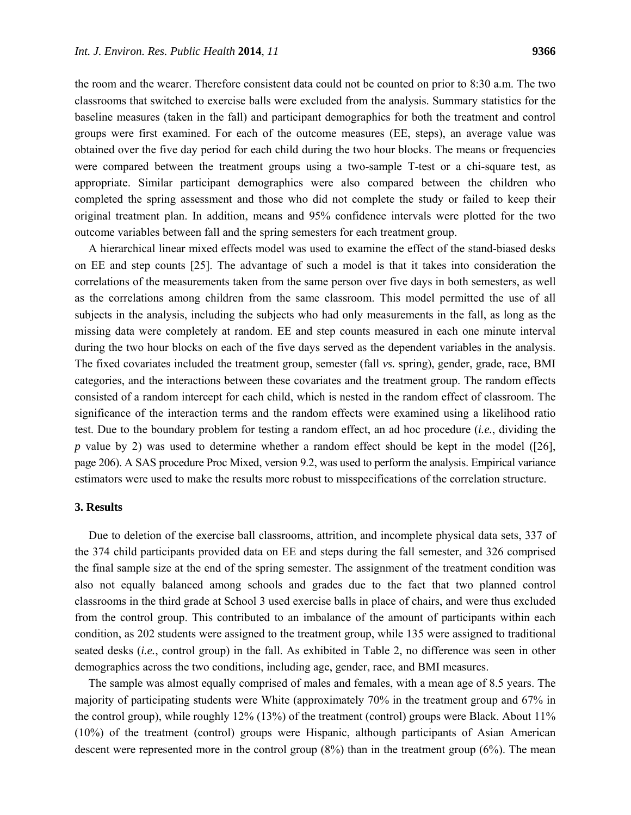the room and the wearer. Therefore consistent data could not be counted on prior to 8:30 a.m. The two classrooms that switched to exercise balls were excluded from the analysis. Summary statistics for the baseline measures (taken in the fall) and participant demographics for both the treatment and control groups were first examined. For each of the outcome measures (EE, steps), an average value was obtained over the five day period for each child during the two hour blocks. The means or frequencies were compared between the treatment groups using a two-sample T-test or a chi-square test, as appropriate. Similar participant demographics were also compared between the children who completed the spring assessment and those who did not complete the study or failed to keep their original treatment plan. In addition, means and 95% confidence intervals were plotted for the two outcome variables between fall and the spring semesters for each treatment group.

A hierarchical linear mixed effects model was used to examine the effect of the stand-biased desks on EE and step counts [25]. The advantage of such a model is that it takes into consideration the correlations of the measurements taken from the same person over five days in both semesters, as well as the correlations among children from the same classroom. This model permitted the use of all subjects in the analysis, including the subjects who had only measurements in the fall, as long as the missing data were completely at random. EE and step counts measured in each one minute interval during the two hour blocks on each of the five days served as the dependent variables in the analysis. The fixed covariates included the treatment group, semester (fall *vs.* spring), gender, grade, race, BMI categories, and the interactions between these covariates and the treatment group. The random effects consisted of a random intercept for each child, which is nested in the random effect of classroom. The significance of the interaction terms and the random effects were examined using a likelihood ratio test. Due to the boundary problem for testing a random effect, an ad hoc procedure (*i.e.*, dividing the *p* value by 2) was used to determine whether a random effect should be kept in the model ([26], page 206). A SAS procedure Proc Mixed, version 9.2, was used to perform the analysis. Empirical variance estimators were used to make the results more robust to misspecifications of the correlation structure.

#### **3. Results**

Due to deletion of the exercise ball classrooms, attrition, and incomplete physical data sets, 337 of the 374 child participants provided data on EE and steps during the fall semester, and 326 comprised the final sample size at the end of the spring semester. The assignment of the treatment condition was also not equally balanced among schools and grades due to the fact that two planned control classrooms in the third grade at School 3 used exercise balls in place of chairs, and were thus excluded from the control group. This contributed to an imbalance of the amount of participants within each condition, as 202 students were assigned to the treatment group, while 135 were assigned to traditional seated desks (*i.e.*, control group) in the fall. As exhibited in Table 2, no difference was seen in other demographics across the two conditions, including age, gender, race, and BMI measures.

The sample was almost equally comprised of males and females, with a mean age of 8.5 years. The majority of participating students were White (approximately 70% in the treatment group and 67% in the control group), while roughly 12% (13%) of the treatment (control) groups were Black. About 11% (10%) of the treatment (control) groups were Hispanic, although participants of Asian American descent were represented more in the control group (8%) than in the treatment group (6%). The mean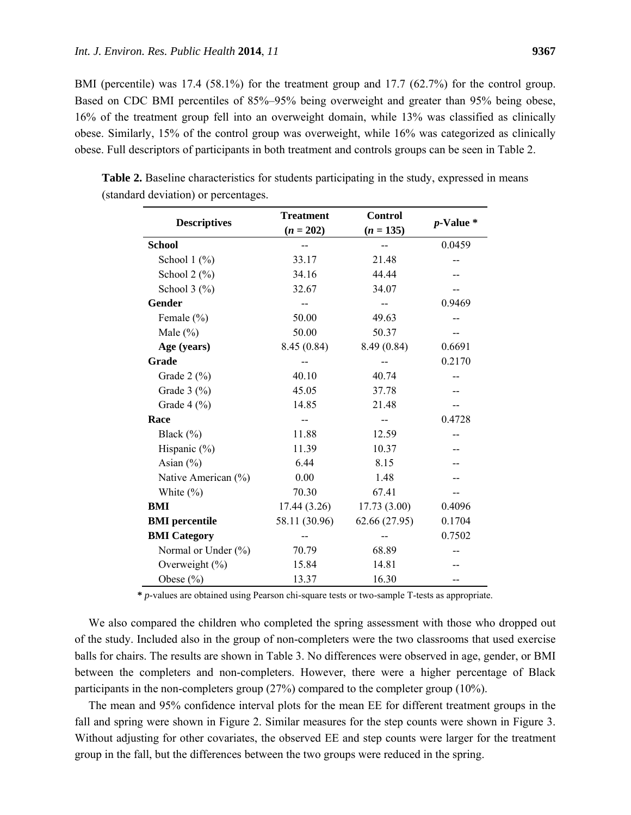BMI (percentile) was 17.4 (58.1%) for the treatment group and 17.7 (62.7%) for the control group. Based on CDC BMI percentiles of 85%–95% being overweight and greater than 95% being obese, 16% of the treatment group fell into an overweight domain, while 13% was classified as clinically obese. Similarly, 15% of the control group was overweight, while 16% was categorized as clinically obese. Full descriptors of participants in both treatment and controls groups can be seen in Table 2.

| <b>Descriptives</b>                   | <b>Treatment</b> | <b>Control</b> | $p$ -Value $*$ |  |
|---------------------------------------|------------------|----------------|----------------|--|
|                                       | $(n = 202)$      | $(n = 135)$    |                |  |
| <b>School</b>                         |                  | $-$            | 0.0459         |  |
| School $1$ $\left(\frac{9}{6}\right)$ | 33.17            | 21.48          |                |  |
| School $2$ $(\%)$                     | 34.16            | 44.44          |                |  |
| School $3$ $\frac{6}{6}$              | 32.67            | 34.07          |                |  |
| Gender                                |                  |                | 0.9469         |  |
| Female $(\% )$                        | 50.00            | 49.63          |                |  |
| Male $(\% )$                          | 50.00            | 50.37          |                |  |
| Age (years)                           | 8.45(0.84)       | 8.49 (0.84)    | 0.6691         |  |
| Grade                                 |                  |                | 0.2170         |  |
| Grade $2 \left( \% \right)$           | 40.10            | 40.74          |                |  |
| Grade $3$ (%)                         | 45.05            | 37.78          |                |  |
| Grade $4$ (%)                         | 14.85            | 21.48          |                |  |
| Race                                  |                  | $-$            | 0.4728         |  |
| Black $(\% )$                         | 11.88            | 12.59          |                |  |
| Hispanic (%)                          | 11.39            | 10.37          |                |  |
| Asian $(\% )$                         | 6.44             | 8.15           |                |  |
| Native American (%)                   | 0.00             | 1.48           |                |  |
| White $(\% )$                         | 70.30            | 67.41          |                |  |
| BMI                                   | 17.44(3.26)      | 17.73(3.00)    | 0.4096         |  |
| <b>BMI</b> percentile                 | 58.11 (30.96)    | 62.66 (27.95)  | 0.1704         |  |
| <b>BMI</b> Category                   |                  |                | 0.7502         |  |
| Normal or Under (%)                   | 70.79            | 68.89          |                |  |
| Overweight (%)                        | 15.84            | 14.81          |                |  |
| Obese $(\% )$                         | 13.37            | 16.30          |                |  |

**Table 2.** Baseline characteristics for students participating in the study, expressed in means (standard deviation) or percentages.

**\*** *p*-values are obtained using Pearson chi-square tests or two-sample T-tests as appropriate.

We also compared the children who completed the spring assessment with those who dropped out of the study. Included also in the group of non-completers were the two classrooms that used exercise balls for chairs. The results are shown in Table 3. No differences were observed in age, gender, or BMI between the completers and non-completers. However, there were a higher percentage of Black participants in the non-completers group (27%) compared to the completer group (10%).

The mean and 95% confidence interval plots for the mean EE for different treatment groups in the fall and spring were shown in Figure 2. Similar measures for the step counts were shown in Figure 3. Without adjusting for other covariates, the observed EE and step counts were larger for the treatment group in the fall, but the differences between the two groups were reduced in the spring.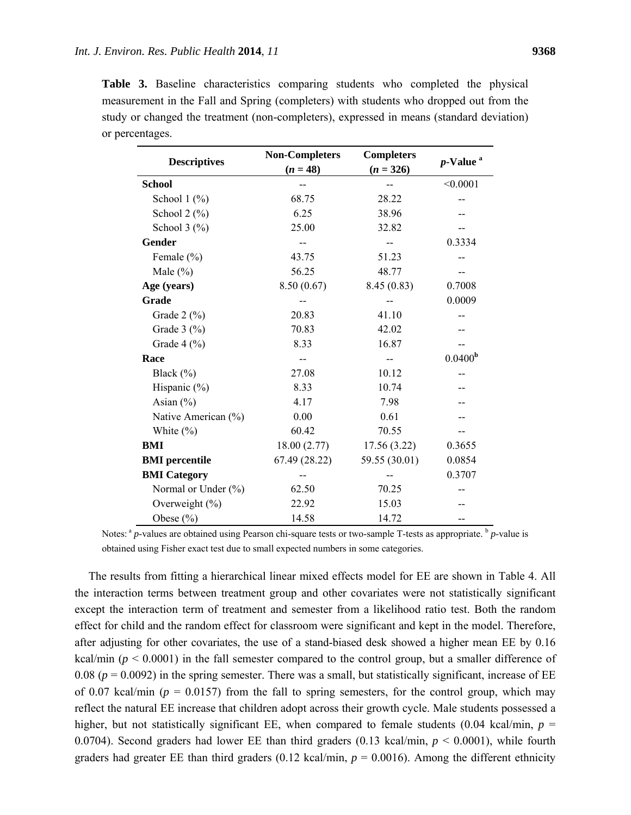|                 |  | <b>Table 3.</b> Baseline characteristics comparing students who completed the physical   |  |  |  |
|-----------------|--|------------------------------------------------------------------------------------------|--|--|--|
|                 |  | measurement in the Fall and Spring (completers) with students who dropped out from the   |  |  |  |
|                 |  | study or changed the treatment (non-completers), expressed in means (standard deviation) |  |  |  |
| or percentages. |  |                                                                                          |  |  |  |

|                                       | <b>Non-Completers</b> | <b>Completers</b> | $p$ -Value <sup>a</sup> |  |
|---------------------------------------|-----------------------|-------------------|-------------------------|--|
| <b>Descriptives</b>                   | $(n = 48)$            | $(n = 326)$       |                         |  |
| <b>School</b>                         |                       |                   | < 0.0001                |  |
| School $1$ $\frac{\%}{\%}$            | 68.75                 | 28.22             |                         |  |
| School $2$ $\left(\frac{9}{6}\right)$ | 6.25                  | 38.96             |                         |  |
| School $3$ $\frac{6}{6}$              | 25.00                 | 32.82             |                         |  |
| Gender                                |                       |                   | 0.3334                  |  |
| Female (%)                            | 43.75                 | 51.23             |                         |  |
| Male $(\% )$                          | 56.25                 | 48.77             |                         |  |
| Age (years)                           | 8.50(0.67)            | 8.45(0.83)        | 0.7008                  |  |
| Grade                                 |                       |                   | 0.0009                  |  |
| Grade 2 (%)                           | 20.83                 | 41.10             |                         |  |
| Grade $3$ (%)                         | 70.83                 | 42.02             |                         |  |
| Grade $4$ (%)                         | 8.33                  | 16.87             |                         |  |
| Race                                  |                       |                   | 0.0400 <sup>b</sup>     |  |
| Black $(\% )$                         | 27.08                 | 10.12             |                         |  |
| Hispanic (%)                          | 8.33                  | 10.74             |                         |  |
| Asian $(\% )$                         | 4.17                  | 7.98              |                         |  |
| Native American (%)                   | 0.00                  | 0.61              |                         |  |
| White $(\% )$                         | 60.42                 | 70.55             |                         |  |
| <b>BMI</b>                            | 18.00(2.77)           | 17.56(3.22)       | 0.3655                  |  |
| <b>BMI</b> percentile                 | 67.49 (28.22)         | 59.55 (30.01)     | 0.0854                  |  |
| <b>BMI</b> Category                   |                       |                   | 0.3707                  |  |
| Normal or Under $(\% )$               | 62.50                 | 70.25             |                         |  |
| Overweight (%)                        | 22.92                 | 15.03             |                         |  |
| Obese $(\% )$                         | 14.58                 | 14.72             |                         |  |

Notes:<sup>a</sup> *p*-values are obtained using Pearson chi-square tests or two-sample T-tests as appropriate. <sup>b</sup> *p*-value is obtained using Fisher exact test due to small expected numbers in some categories.

The results from fitting a hierarchical linear mixed effects model for EE are shown in Table 4. All the interaction terms between treatment group and other covariates were not statistically significant except the interaction term of treatment and semester from a likelihood ratio test. Both the random effect for child and the random effect for classroom were significant and kept in the model. Therefore, after adjusting for other covariates, the use of a stand-biased desk showed a higher mean EE by 0.16 kcal/min ( $p < 0.0001$ ) in the fall semester compared to the control group, but a smaller difference of 0.08 ( $p = 0.0092$ ) in the spring semester. There was a small, but statistically significant, increase of EE of 0.07 kcal/min ( $p = 0.0157$ ) from the fall to spring semesters, for the control group, which may reflect the natural EE increase that children adopt across their growth cycle. Male students possessed a higher, but not statistically significant EE, when compared to female students  $(0.04 \text{ kcal/min}, p =$ 0.0704). Second graders had lower EE than third graders (0.13 kcal/min, *p* < 0.0001), while fourth graders had greater EE than third graders  $(0.12 \text{ kcal/min}, p = 0.0016)$ . Among the different ethnicity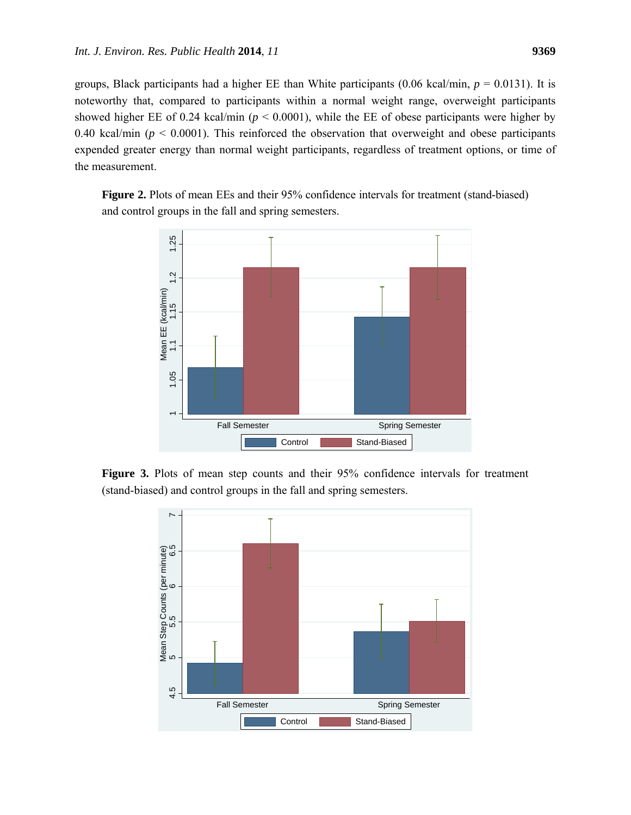groups, Black participants had a higher EE than White participants (0.06 kcal/min,  $p = 0.0131$ ). It is noteworthy that, compared to participants within a normal weight range, overweight participants showed higher EE of 0.24 kcal/min ( $p < 0.0001$ ), while the EE of obese participants were higher by 0.40 kcal/min ( $p < 0.0001$ ). This reinforced the observation that overweight and obese participants expended greater energy than normal weight participants, regardless of treatment options, or time of the measurement.

**Figure 2.** Plots of mean EEs and their 95% confidence intervals for treatment (stand-biased) and control groups in the fall and spring semesters.



**Figure 3.** Plots of mean step counts and their 95% confidence intervals for treatment (stand-biased) and control groups in the fall and spring semesters.

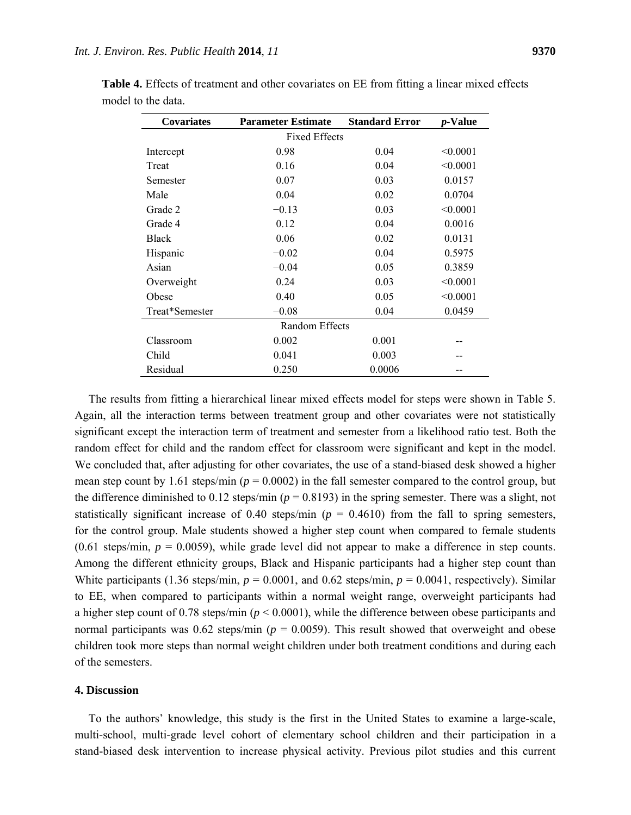| <b>Covariates</b>     | <b>Parameter Estimate</b> | <b>Standard Error</b> | <i>p</i> -Value |  |  |
|-----------------------|---------------------------|-----------------------|-----------------|--|--|
| <b>Fixed Effects</b>  |                           |                       |                 |  |  |
| Intercept             | 0.98                      | 0.04                  | < 0.0001        |  |  |
| Treat                 | 0.16                      | 0.04                  | < 0.0001        |  |  |
| Semester              | 0.07                      | 0.03                  | 0.0157          |  |  |
| Male                  | 0.04                      | 0.02                  | 0.0704          |  |  |
| Grade 2               | $-0.13$                   | 0.03                  | < 0.0001        |  |  |
| Grade 4               | 0.12                      | 0.04                  | 0.0016          |  |  |
| <b>Black</b>          | 0.06                      | 0.02                  | 0.0131          |  |  |
| Hispanic              | $-0.02$                   | 0.04                  | 0.5975          |  |  |
| Asian                 | $-0.04$                   | 0.05                  | 0.3859          |  |  |
| Overweight            | 0.24                      | 0.03                  | < 0.0001        |  |  |
| Obese                 | 0.40                      | 0.05                  | < 0.0001        |  |  |
| Treat*Semester        | $-0.08$                   | 0.04                  | 0.0459          |  |  |
| <b>Random Effects</b> |                           |                       |                 |  |  |
| Classroom             | 0.002                     | 0.001                 |                 |  |  |
| Child                 | 0.041                     | 0.003                 |                 |  |  |
| Residual              | 0.250                     | 0.0006                |                 |  |  |

**Table 4.** Effects of treatment and other covariates on EE from fitting a linear mixed effects model to the data.

The results from fitting a hierarchical linear mixed effects model for steps were shown in Table 5. Again, all the interaction terms between treatment group and other covariates were not statistically significant except the interaction term of treatment and semester from a likelihood ratio test. Both the random effect for child and the random effect for classroom were significant and kept in the model. We concluded that, after adjusting for other covariates, the use of a stand-biased desk showed a higher mean step count by 1.61 steps/min ( $p = 0.0002$ ) in the fall semester compared to the control group, but the difference diminished to 0.12 steps/min ( $p = 0.8193$ ) in the spring semester. There was a slight, not statistically significant increase of 0.40 steps/min ( $p = 0.4610$ ) from the fall to spring semesters, for the control group. Male students showed a higher step count when compared to female students  $(0.61 \text{ steps/min}, p = 0.0059)$ , while grade level did not appear to make a difference in step counts. Among the different ethnicity groups, Black and Hispanic participants had a higher step count than White participants (1.36 steps/min,  $p = 0.0001$ , and 0.62 steps/min,  $p = 0.0041$ , respectively). Similar to EE, when compared to participants within a normal weight range, overweight participants had a higher step count of 0.78 steps/min ( $p < 0.0001$ ), while the difference between obese participants and normal participants was  $0.62$  steps/min ( $p = 0.0059$ ). This result showed that overweight and obese children took more steps than normal weight children under both treatment conditions and during each of the semesters.

# **4. Discussion**

To the authors' knowledge, this study is the first in the United States to examine a large-scale, multi-school, multi-grade level cohort of elementary school children and their participation in a stand-biased desk intervention to increase physical activity. Previous pilot studies and this current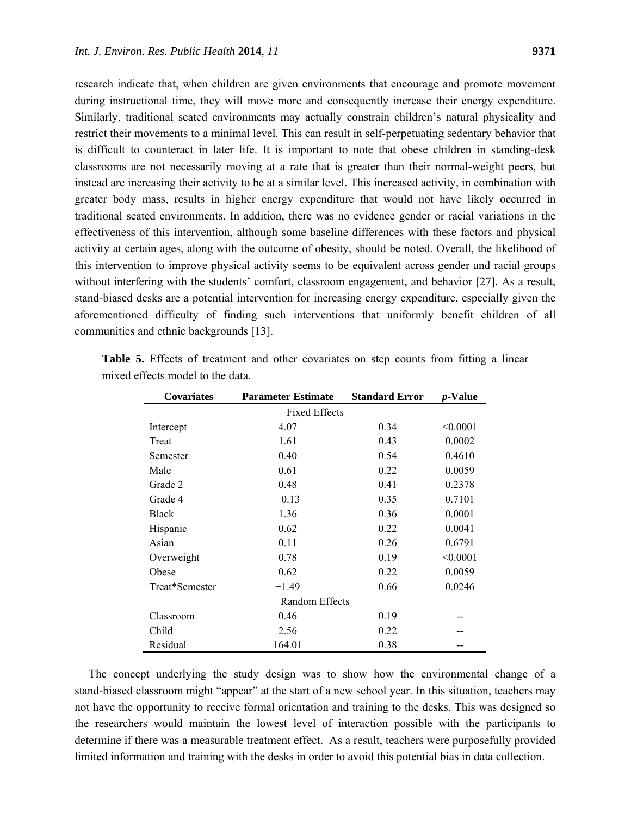research indicate that, when children are given environments that encourage and promote movement during instructional time, they will move more and consequently increase their energy expenditure. Similarly, traditional seated environments may actually constrain children's natural physicality and restrict their movements to a minimal level. This can result in self-perpetuating sedentary behavior that is difficult to counteract in later life. It is important to note that obese children in standing-desk classrooms are not necessarily moving at a rate that is greater than their normal-weight peers, but instead are increasing their activity to be at a similar level. This increased activity, in combination with greater body mass, results in higher energy expenditure that would not have likely occurred in traditional seated environments. In addition, there was no evidence gender or racial variations in the effectiveness of this intervention, although some baseline differences with these factors and physical activity at certain ages, along with the outcome of obesity, should be noted. Overall, the likelihood of this intervention to improve physical activity seems to be equivalent across gender and racial groups without interfering with the students' comfort, classroom engagement, and behavior [27]. As a result, stand-biased desks are a potential intervention for increasing energy expenditure, especially given the aforementioned difficulty of finding such interventions that uniformly benefit children of all communities and ethnic backgrounds [13].

| <b>Covariates</b>    | <b>Parameter Estimate</b> | <b>Standard Error</b> | <i>p</i> -Value |  |  |
|----------------------|---------------------------|-----------------------|-----------------|--|--|
| <b>Fixed Effects</b> |                           |                       |                 |  |  |
| Intercept            | 4.07                      | 0.34                  | < 0.0001        |  |  |
| Treat                | 1.61                      | 0.43                  | 0.0002          |  |  |
| Semester             | 0.40                      | 0.54                  | 0.4610          |  |  |
| Male                 | 0.61                      | 0.22                  | 0.0059          |  |  |
| Grade 2              | 0.48                      | 0.41                  | 0.2378          |  |  |
| Grade 4              | $-0.13$                   | 0.35                  | 0.7101          |  |  |
| <b>Black</b>         | 1.36                      | 0.36                  | 0.0001          |  |  |
| Hispanic             | 0.62                      | 0.22                  | 0.0041          |  |  |
| Asian                | 0.11                      | 0.26                  | 0.6791          |  |  |
| Overweight           | 0.78                      | 0.19                  | < 0.0001        |  |  |
| Obese                | 0.62                      | 0.22                  | 0.0059          |  |  |
| Treat*Semester       | $-1.49$                   | 0.66                  | 0.0246          |  |  |
| Random Effects       |                           |                       |                 |  |  |
| Classroom            | 0.46                      | 0.19                  |                 |  |  |
| Child                | 2.56                      | 0.22                  |                 |  |  |
| Residual             | 164.01                    | 0.38                  |                 |  |  |

**Table 5.** Effects of treatment and other covariates on step counts from fitting a linear mixed effects model to the data.

The concept underlying the study design was to show how the environmental change of a stand-biased classroom might "appear" at the start of a new school year. In this situation, teachers may not have the opportunity to receive formal orientation and training to the desks. This was designed so the researchers would maintain the lowest level of interaction possible with the participants to determine if there was a measurable treatment effect. As a result, teachers were purposefully provided limited information and training with the desks in order to avoid this potential bias in data collection.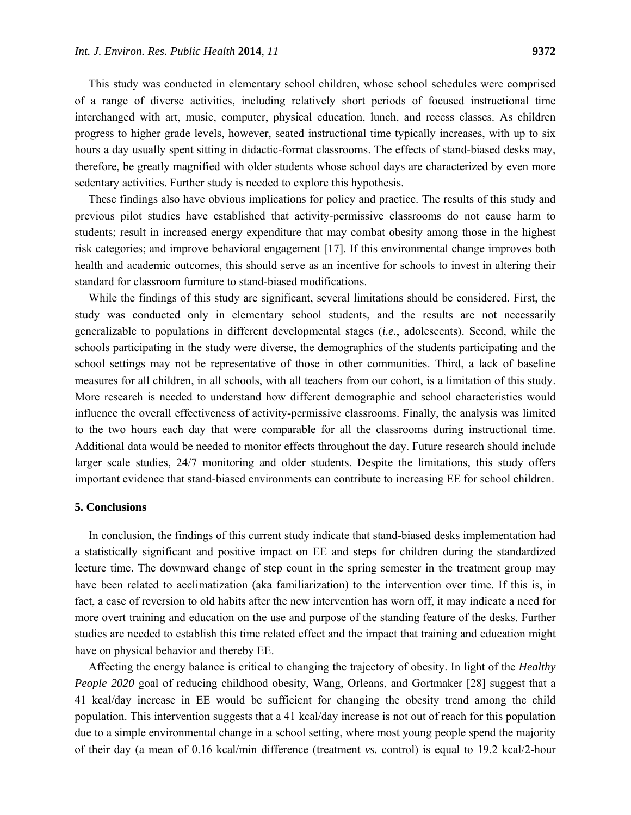This study was conducted in elementary school children, whose school schedules were comprised of a range of diverse activities, including relatively short periods of focused instructional time interchanged with art, music, computer, physical education, lunch, and recess classes. As children progress to higher grade levels, however, seated instructional time typically increases, with up to six hours a day usually spent sitting in didactic-format classrooms. The effects of stand-biased desks may, therefore, be greatly magnified with older students whose school days are characterized by even more sedentary activities. Further study is needed to explore this hypothesis.

These findings also have obvious implications for policy and practice. The results of this study and previous pilot studies have established that activity-permissive classrooms do not cause harm to students; result in increased energy expenditure that may combat obesity among those in the highest risk categories; and improve behavioral engagement [17]. If this environmental change improves both health and academic outcomes, this should serve as an incentive for schools to invest in altering their standard for classroom furniture to stand-biased modifications.

While the findings of this study are significant, several limitations should be considered. First, the study was conducted only in elementary school students, and the results are not necessarily generalizable to populations in different developmental stages (*i.e.*, adolescents). Second, while the schools participating in the study were diverse, the demographics of the students participating and the school settings may not be representative of those in other communities. Third, a lack of baseline measures for all children, in all schools, with all teachers from our cohort, is a limitation of this study. More research is needed to understand how different demographic and school characteristics would influence the overall effectiveness of activity-permissive classrooms. Finally, the analysis was limited to the two hours each day that were comparable for all the classrooms during instructional time. Additional data would be needed to monitor effects throughout the day. Future research should include larger scale studies, 24/7 monitoring and older students. Despite the limitations, this study offers important evidence that stand-biased environments can contribute to increasing EE for school children.

## **5. Conclusions**

In conclusion, the findings of this current study indicate that stand-biased desks implementation had a statistically significant and positive impact on EE and steps for children during the standardized lecture time. The downward change of step count in the spring semester in the treatment group may have been related to acclimatization (aka familiarization) to the intervention over time. If this is, in fact, a case of reversion to old habits after the new intervention has worn off, it may indicate a need for more overt training and education on the use and purpose of the standing feature of the desks. Further studies are needed to establish this time related effect and the impact that training and education might have on physical behavior and thereby EE.

Affecting the energy balance is critical to changing the trajectory of obesity. In light of the *Healthy People 2020* goal of reducing childhood obesity, Wang, Orleans, and Gortmaker [28] suggest that a 41 kcal/day increase in EE would be sufficient for changing the obesity trend among the child population. This intervention suggests that a 41 kcal/day increase is not out of reach for this population due to a simple environmental change in a school setting, where most young people spend the majority of their day (a mean of 0.16 kcal/min difference (treatment *vs.* control) is equal to 19.2 kcal/2-hour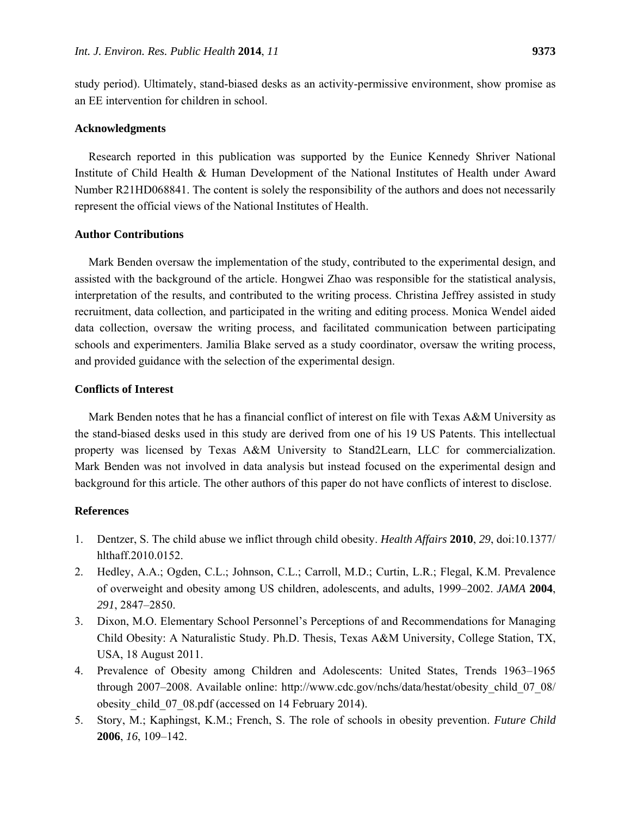study period). Ultimately, stand-biased desks as an activity-permissive environment, show promise as an EE intervention for children in school.

#### **Acknowledgments**

Research reported in this publication was supported by the Eunice Kennedy Shriver National Institute of Child Health & Human Development of the National Institutes of Health under Award Number R21HD068841. The content is solely the responsibility of the authors and does not necessarily represent the official views of the National Institutes of Health.

#### **Author Contributions**

Mark Benden oversaw the implementation of the study, contributed to the experimental design, and assisted with the background of the article. Hongwei Zhao was responsible for the statistical analysis, interpretation of the results, and contributed to the writing process. Christina Jeffrey assisted in study recruitment, data collection, and participated in the writing and editing process. Monica Wendel aided data collection, oversaw the writing process, and facilitated communication between participating schools and experimenters. Jamilia Blake served as a study coordinator, oversaw the writing process, and provided guidance with the selection of the experimental design.

#### **Conflicts of Interest**

Mark Benden notes that he has a financial conflict of interest on file with Texas A&M University as the stand-biased desks used in this study are derived from one of his 19 US Patents. This intellectual property was licensed by Texas A&M University to Stand2Learn, LLC for commercialization. Mark Benden was not involved in data analysis but instead focused on the experimental design and background for this article. The other authors of this paper do not have conflicts of interest to disclose.

## **References**

- 1. Dentzer, S. The child abuse we inflict through child obesity. *Health Affairs* **2010**, *29*, doi:10.1377/ hlthaff.2010.0152.
- 2. Hedley, A.A.; Ogden, C.L.; Johnson, C.L.; Carroll, M.D.; Curtin, L.R.; Flegal, K.M. Prevalence of overweight and obesity among US children, adolescents, and adults, 1999–2002. *JAMA* **2004**, *291*, 2847–2850.
- 3. Dixon, M.O. Elementary School Personnel's Perceptions of and Recommendations for Managing Child Obesity: A Naturalistic Study. Ph.D. Thesis, Texas A&M University, College Station, TX, USA, 18 August 2011.
- 4. Prevalence of Obesity among Children and Adolescents: United States, Trends 1963–1965 through 2007–2008. Available online: http://www.cdc.gov/nchs/data/hestat/obesity\_child\_07\_08/ obesity child 07 08.pdf (accessed on 14 February 2014).
- 5. Story, M.; Kaphingst, K.M.; French, S. The role of schools in obesity prevention. *Future Child* **2006**, *16*, 109–142.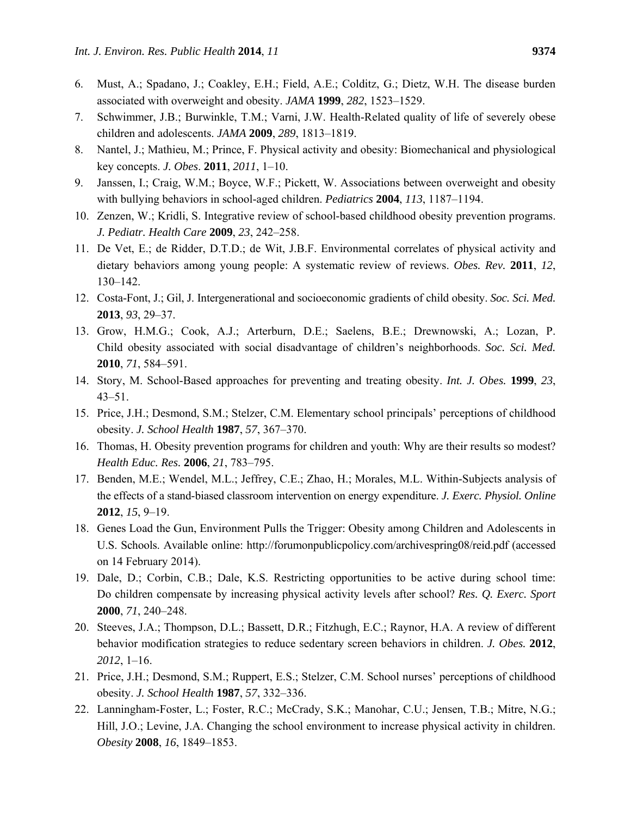- 6. Must, A.; Spadano, J.; Coakley, E.H.; Field, A.E.; Colditz, G.; Dietz, W.H. The disease burden associated with overweight and obesity. *JAMA* **1999**, *282*, 1523–1529.
- 7. Schwimmer, J.B.; Burwinkle, T.M.; Varni, J.W. Health-Related quality of life of severely obese children and adolescents. *JAMA* **2009**, *289*, 1813–1819.
- 8. Nantel, J.; Mathieu, M.; Prince, F. Physical activity and obesity: Biomechanical and physiological key concepts. *J. Obes*. **2011**, *2011*, 1–10.
- 9. Janssen, I.; Craig, W.M.; Boyce, W.F.; Pickett, W. Associations between overweight and obesity with bullying behaviors in school-aged children. *Pediatrics* **2004**, *113*, 1187–1194.
- 10. Zenzen, W.; Kridli, S. Integrative review of school-based childhood obesity prevention programs. *J. Pediatr. Health Care* **2009**, *23*, 242–258.
- 11. De Vet, E.; de Ridder, D.T.D.; de Wit, J.B.F. Environmental correlates of physical activity and dietary behaviors among young people: A systematic review of reviews. *Obes. Rev.* **2011**, *12*, 130–142.
- 12. Costa-Font, J.; Gil, J. Intergenerational and socioeconomic gradients of child obesity. *Soc. Sci. Med.*  **2013**, *93*, 29–37.
- 13. Grow, H.M.G.; Cook, A.J.; Arterburn, D.E.; Saelens, B.E.; Drewnowski, A.; Lozan, P. Child obesity associated with social disadvantage of children's neighborhoods. *Soc. Sci. Med.* **2010**, *71*, 584–591.
- 14. Story, M. School-Based approaches for preventing and treating obesity. *Int. J. Obes.* **1999**, *23*, 43–51.
- 15. Price, J.H.; Desmond, S.M.; Stelzer, C.M. Elementary school principals' perceptions of childhood obesity. *J. School Health* **1987**, *57*, 367–370.
- 16. Thomas, H. Obesity prevention programs for children and youth: Why are their results so modest? *Health Educ. Res.* **2006**, *21*, 783–795.
- 17. Benden, M.E.; Wendel, M.L.; Jeffrey, C.E.; Zhao, H.; Morales, M.L. Within-Subjects analysis of the effects of a stand-biased classroom intervention on energy expenditure. *J. Exerc. Physiol. Online*  **2012**, *15*, 9–19.
- 18. Genes Load the Gun, Environment Pulls the Trigger: Obesity among Children and Adolescents in U.S. Schools. Available online: http://forumonpublicpolicy.com/archivespring08/reid.pdf (accessed on 14 February 2014).
- 19. Dale, D.; Corbin, C.B.; Dale, K.S. Restricting opportunities to be active during school time: Do children compensate by increasing physical activity levels after school? *Res. Q. Exerc. Sport* **2000**, *71*, 240–248.
- 20. Steeves, J.A.; Thompson, D.L.; Bassett, D.R.; Fitzhugh, E.C.; Raynor, H.A. A review of different behavior modification strategies to reduce sedentary screen behaviors in children. *J. Obes.* **2012**, *2012*, 1–16.
- 21. Price, J.H.; Desmond, S.M.; Ruppert, E.S.; Stelzer, C.M. School nurses' perceptions of childhood obesity. *J. School Health* **1987**, *57*, 332–336.
- 22. Lanningham-Foster, L.; Foster, R.C.; McCrady, S.K.; Manohar, C.U.; Jensen, T.B.; Mitre, N.G.; Hill, J.O.; Levine, J.A. Changing the school environment to increase physical activity in children. *Obesity* **2008**, *16*, 1849–1853.